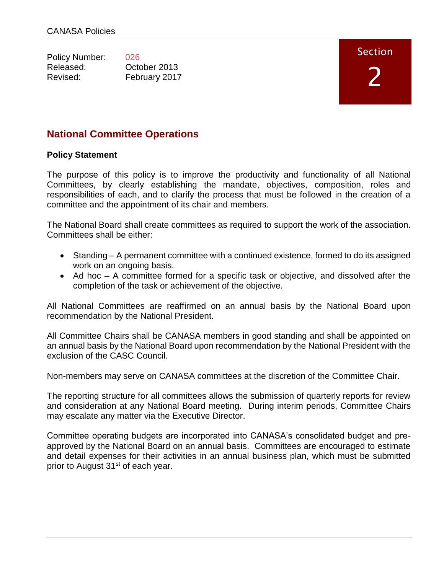| 026           |
|---------------|
| October 2013  |
| February 2017 |
|               |

# Section

# **National Committee Operations**

# **Policy Statement**

The purpose of this policy is to improve the productivity and functionality of all National Committees, by clearly establishing the mandate, objectives, composition, roles and responsibilities of each, and to clarify the process that must be followed in the creation of a committee and the appointment of its chair and members.

The National Board shall create committees as required to support the work of the association. Committees shall be either:

- Standing A permanent committee with a continued existence, formed to do its assigned work on an ongoing basis.
- Ad hoc A committee formed for a specific task or objective, and dissolved after the completion of the task or achievement of the objective.

All National Committees are reaffirmed on an annual basis by the National Board upon recommendation by the National President.

All Committee Chairs shall be CANASA members in good standing and shall be appointed on an annual basis by the National Board upon recommendation by the National President with the exclusion of the CASC Council.

Non-members may serve on CANASA committees at the discretion of the Committee Chair.

The reporting structure for all committees allows the submission of quarterly reports for review and consideration at any National Board meeting. During interim periods, Committee Chairs may escalate any matter via the Executive Director.

Committee operating budgets are incorporated into CANASA's consolidated budget and preapproved by the National Board on an annual basis. Committees are encouraged to estimate and detail expenses for their activities in an annual business plan, which must be submitted prior to August 31<sup>st</sup> of each year.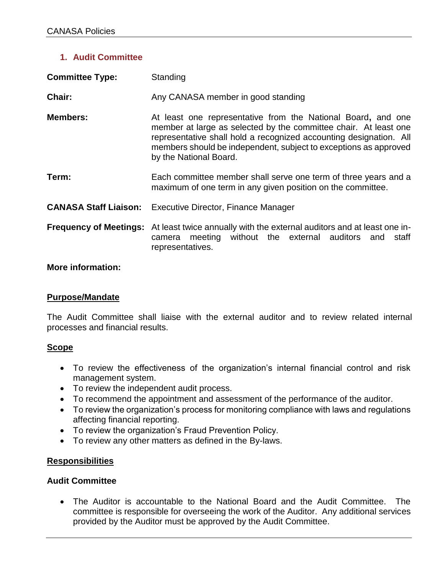## **1. Audit Committee**

| <b>Committee Type:</b> | Standing                                                                                                                                                                                                                                                                                             |
|------------------------|------------------------------------------------------------------------------------------------------------------------------------------------------------------------------------------------------------------------------------------------------------------------------------------------------|
| Chair:                 | Any CANASA member in good standing                                                                                                                                                                                                                                                                   |
| <b>Members:</b>        | At least one representative from the National Board, and one<br>member at large as selected by the committee chair. At least one<br>representative shall hold a recognized accounting designation. All<br>members should be independent, subject to exceptions as approved<br>by the National Board. |
| Term:                  | Each committee member shall serve one term of three years and a<br>maximum of one term in any given position on the committee.                                                                                                                                                                       |
|                        | <b>CANASA Staff Liaison:</b> Executive Director, Finance Manager                                                                                                                                                                                                                                     |
|                        | <b>Frequency of Meetings:</b> At least twice annually with the external auditors and at least one in-<br>camera meeting without the external auditors and staff<br>representatives.                                                                                                                  |

## **More information:**

### **Purpose/Mandate**

The Audit Committee shall liaise with the external auditor and to review related internal processes and financial results.

### **Scope**

- To review the effectiveness of the organization's internal financial control and risk management system.
- To review the independent audit process.
- To recommend the appointment and assessment of the performance of the auditor.
- To review the organization's process for monitoring compliance with laws and regulations affecting financial reporting.
- To review the organization's Fraud Prevention Policy.
- To review any other matters as defined in the By-laws.

### **Responsibilities**

### **Audit Committee**

 The Auditor is accountable to the National Board and the Audit Committee. The committee is responsible for overseeing the work of the Auditor. Any additional services provided by the Auditor must be approved by the Audit Committee.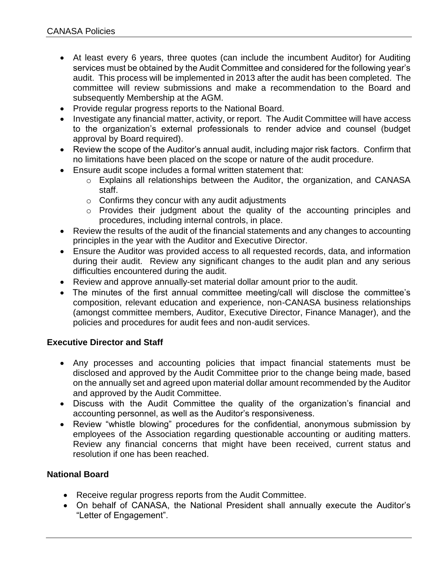- At least every 6 years, three quotes (can include the incumbent Auditor) for Auditing services must be obtained by the Audit Committee and considered for the following year's audit. This process will be implemented in 2013 after the audit has been completed. The committee will review submissions and make a recommendation to the Board and subsequently Membership at the AGM.
- Provide regular progress reports to the National Board.
- Investigate any financial matter, activity, or report. The Audit Committee will have access to the organization's external professionals to render advice and counsel (budget approval by Board required).
- Review the scope of the Auditor's annual audit, including major risk factors. Confirm that no limitations have been placed on the scope or nature of the audit procedure.
- Ensure audit scope includes a formal written statement that:
	- o Explains all relationships between the Auditor, the organization, and CANASA staff.
	- $\circ$  Confirms they concur with any audit adjustments
	- o Provides their judgment about the quality of the accounting principles and procedures, including internal controls, in place.
- Review the results of the audit of the financial statements and any changes to accounting principles in the year with the Auditor and Executive Director.
- Ensure the Auditor was provided access to all requested records, data, and information during their audit. Review any significant changes to the audit plan and any serious difficulties encountered during the audit.
- Review and approve annually-set material dollar amount prior to the audit.
- The minutes of the first annual committee meeting/call will disclose the committee's composition, relevant education and experience, non-CANASA business relationships (amongst committee members, Auditor, Executive Director, Finance Manager), and the policies and procedures for audit fees and non-audit services.

### **Executive Director and Staff**

- Any processes and accounting policies that impact financial statements must be disclosed and approved by the Audit Committee prior to the change being made, based on the annually set and agreed upon material dollar amount recommended by the Auditor and approved by the Audit Committee.
- Discuss with the Audit Committee the quality of the organization's financial and accounting personnel, as well as the Auditor's responsiveness.
- Review "whistle blowing" procedures for the confidential, anonymous submission by employees of the Association regarding questionable accounting or auditing matters. Review any financial concerns that might have been received, current status and resolution if one has been reached.

### **National Board**

- Receive regular progress reports from the Audit Committee.
- On behalf of CANASA, the National President shall annually execute the Auditor's "Letter of Engagement".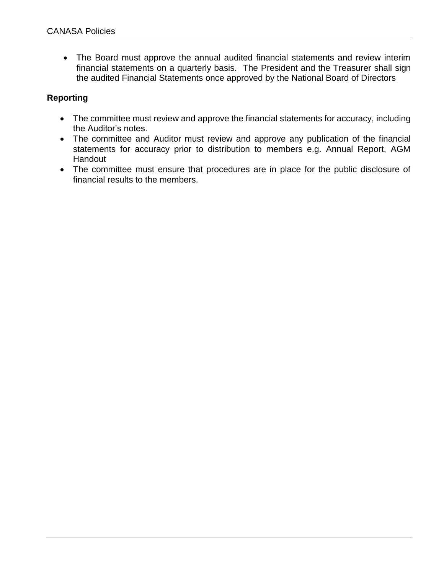The Board must approve the annual audited financial statements and review interim financial statements on a quarterly basis. The President and the Treasurer shall sign the audited Financial Statements once approved by the National Board of Directors

# **Reporting**

- The committee must review and approve the financial statements for accuracy, including the Auditor's notes.
- The committee and Auditor must review and approve any publication of the financial statements for accuracy prior to distribution to members e.g. Annual Report, AGM Handout
- The committee must ensure that procedures are in place for the public disclosure of financial results to the members.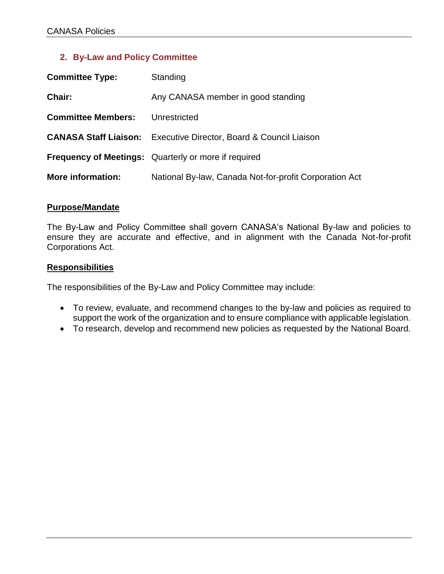## **2. By-Law and Policy Committee**

| <b>Committee Type:</b>    | Standing                                                                 |
|---------------------------|--------------------------------------------------------------------------|
| Chair:                    | Any CANASA member in good standing                                       |
| <b>Committee Members:</b> | Unrestricted                                                             |
|                           | <b>CANASA Staff Liaison:</b> Executive Director, Board & Council Liaison |
|                           | <b>Frequency of Meetings:</b> Quarterly or more if required              |
| More information:         | National By-law, Canada Not-for-profit Corporation Act                   |

#### **Purpose/Mandate**

The By-Law and Policy Committee shall govern CANASA's National By-law and policies to ensure they are accurate and effective, and in alignment with the Canada Not-for-profit Corporations Act.

#### **Responsibilities**

The responsibilities of the By-Law and Policy Committee may include:

- To review, evaluate, and recommend changes to the by-law and policies as required to support the work of the organization and to ensure compliance with applicable legislation.
- To research, develop and recommend new policies as requested by the National Board.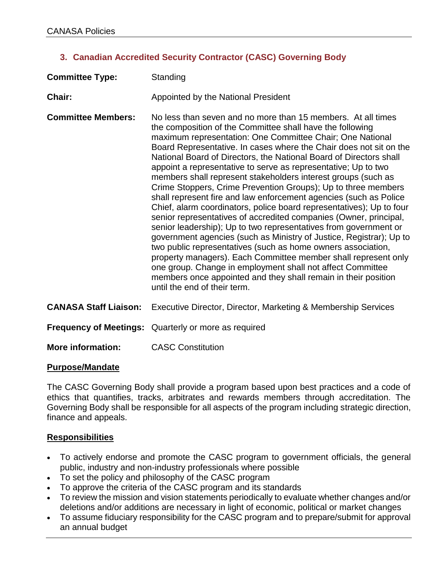# **3. Canadian Accredited Security Contractor (CASC) Governing Body**

| <b>Committee Type:</b>       | Standing                                                                                                                                                                                                                                                                                                                                                                                                                                                                                                                                                                                                                                                                                                                                                                                                                                                                                                                                                                                                                                                                                                                                                                                              |
|------------------------------|-------------------------------------------------------------------------------------------------------------------------------------------------------------------------------------------------------------------------------------------------------------------------------------------------------------------------------------------------------------------------------------------------------------------------------------------------------------------------------------------------------------------------------------------------------------------------------------------------------------------------------------------------------------------------------------------------------------------------------------------------------------------------------------------------------------------------------------------------------------------------------------------------------------------------------------------------------------------------------------------------------------------------------------------------------------------------------------------------------------------------------------------------------------------------------------------------------|
| Chair:                       | Appointed by the National President                                                                                                                                                                                                                                                                                                                                                                                                                                                                                                                                                                                                                                                                                                                                                                                                                                                                                                                                                                                                                                                                                                                                                                   |
| <b>Committee Members:</b>    | No less than seven and no more than 15 members. At all times<br>the composition of the Committee shall have the following<br>maximum representation: One Committee Chair; One National<br>Board Representative. In cases where the Chair does not sit on the<br>National Board of Directors, the National Board of Directors shall<br>appoint a representative to serve as representative; Up to two<br>members shall represent stakeholders interest groups (such as<br>Crime Stoppers, Crime Prevention Groups); Up to three members<br>shall represent fire and law enforcement agencies (such as Police<br>Chief, alarm coordinators, police board representatives); Up to four<br>senior representatives of accredited companies (Owner, principal,<br>senior leadership); Up to two representatives from government or<br>government agencies (such as Ministry of Justice, Registrar); Up to<br>two public representatives (such as home owners association,<br>property managers). Each Committee member shall represent only<br>one group. Change in employment shall not affect Committee<br>members once appointed and they shall remain in their position<br>until the end of their term. |
| <b>CANASA Staff Liaison:</b> | Executive Director, Director, Marketing & Membership Services                                                                                                                                                                                                                                                                                                                                                                                                                                                                                                                                                                                                                                                                                                                                                                                                                                                                                                                                                                                                                                                                                                                                         |
|                              | <b>Frequency of Meetings:</b> Quarterly or more as required                                                                                                                                                                                                                                                                                                                                                                                                                                                                                                                                                                                                                                                                                                                                                                                                                                                                                                                                                                                                                                                                                                                                           |
| <b>More information:</b>     | <b>CASC Constitution</b>                                                                                                                                                                                                                                                                                                                                                                                                                                                                                                                                                                                                                                                                                                                                                                                                                                                                                                                                                                                                                                                                                                                                                                              |

### **Purpose/Mandate**

The CASC Governing Body shall provide a program based upon best practices and a code of ethics that quantifies, tracks, arbitrates and rewards members through accreditation. The Governing Body shall be responsible for all aspects of the program including strategic direction, finance and appeals.

### **Responsibilities**

- To actively endorse and promote the CASC program to government officials, the general public, industry and non-industry professionals where possible
- To set the policy and philosophy of the CASC program
- To approve the criteria of the CASC program and its standards
- To review the mission and vision statements periodically to evaluate whether changes and/or deletions and/or additions are necessary in light of economic, political or market changes
- To assume fiduciary responsibility for the CASC program and to prepare/submit for approval an annual budget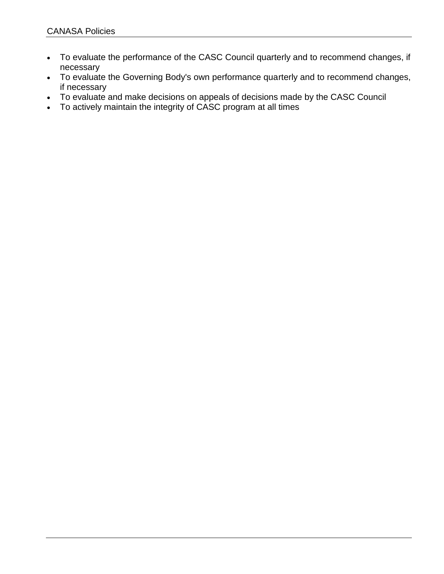- To evaluate the performance of the CASC Council quarterly and to recommend changes, if necessary
- To evaluate the Governing Body's own performance quarterly and to recommend changes, if necessary
- To evaluate and make decisions on appeals of decisions made by the CASC Council
- To actively maintain the integrity of CASC program at all times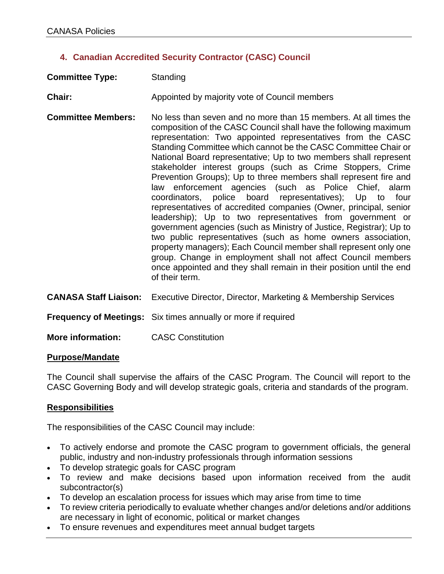# **4. Canadian Accredited Security Contractor (CASC) Council**

| <b>Committee Type:</b> | Standing                                      |
|------------------------|-----------------------------------------------|
| <b>Chair:</b>          | Appointed by majority vote of Council members |

- **Committee Members:** No less than seven and no more than 15 members. At all times the composition of the CASC Council shall have the following maximum representation: Two appointed representatives from the CASC Standing Committee which cannot be the CASC Committee Chair or National Board representative; Up to two members shall represent stakeholder interest groups (such as Crime Stoppers, Crime Prevention Groups); Up to three members shall represent fire and law enforcement agencies (such as Police Chief, alarm coordinators, police board representatives); Up to four representatives of accredited companies (Owner, principal, senior leadership); Up to two representatives from government or government agencies (such as Ministry of Justice, Registrar); Up to two public representatives (such as home owners association, property managers); Each Council member shall represent only one group. Change in employment shall not affect Council members once appointed and they shall remain in their position until the end of their term.
- **CANASA Staff Liaison:** Executive Director, Director, Marketing & Membership Services

**Frequency of Meetings:** Six times annually or more if required

**More information:** CASC Constitution

#### **Purpose/Mandate**

The Council shall supervise the affairs of the CASC Program. The Council will report to the CASC Governing Body and will develop strategic goals, criteria and standards of the program.

### **Responsibilities**

The responsibilities of the CASC Council may include:

- To actively endorse and promote the CASC program to government officials, the general public, industry and non-industry professionals through information sessions
- To develop strategic goals for CASC program
- To review and make decisions based upon information received from the audit subcontractor(s)
- To develop an escalation process for issues which may arise from time to time
- To review criteria periodically to evaluate whether changes and/or deletions and/or additions are necessary in light of economic, political or market changes
- To ensure revenues and expenditures meet annual budget targets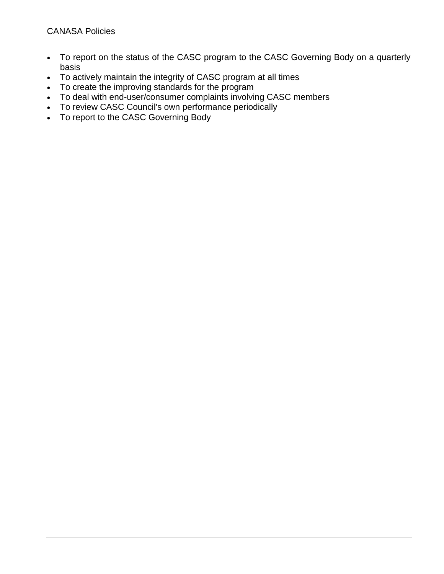- To report on the status of the CASC program to the CASC Governing Body on a quarterly basis
- To actively maintain the integrity of CASC program at all times
- To create the improving standards for the program
- To deal with end-user/consumer complaints involving CASC members
- To review CASC Council's own performance periodically
- To report to the CASC Governing Body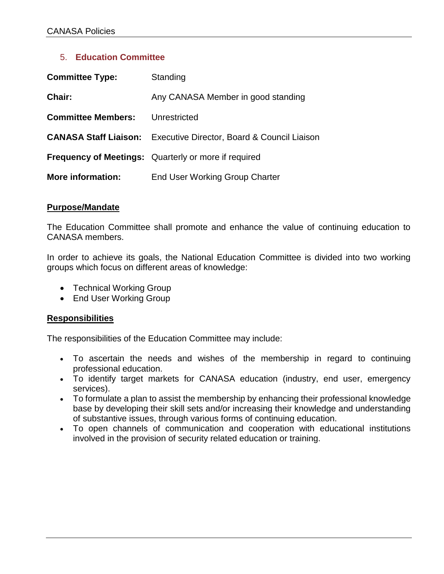## 5. **Education Committee**

| <b>Committee Type:</b>    | Standing                                                                 |
|---------------------------|--------------------------------------------------------------------------|
| Chair:                    | Any CANASA Member in good standing                                       |
| <b>Committee Members:</b> | Unrestricted                                                             |
|                           | <b>CANASA Staff Liaison:</b> Executive Director, Board & Council Liaison |
|                           | <b>Frequency of Meetings:</b> Quarterly or more if required              |
| <b>More information:</b>  | <b>End User Working Group Charter</b>                                    |

### **Purpose/Mandate**

The Education Committee shall promote and enhance the value of continuing education to CANASA members.

In order to achieve its goals, the National Education Committee is divided into two working groups which focus on different areas of knowledge:

- Technical Working Group
- End User Working Group

### **Responsibilities**

The responsibilities of the Education Committee may include:

- To ascertain the needs and wishes of the membership in regard to continuing professional education.
- To identify target markets for CANASA education (industry, end user, emergency services).
- To formulate a plan to assist the membership by enhancing their professional knowledge base by developing their skill sets and/or increasing their knowledge and understanding of substantive issues, through various forms of continuing education.
- To open channels of communication and cooperation with educational institutions involved in the provision of security related education or training.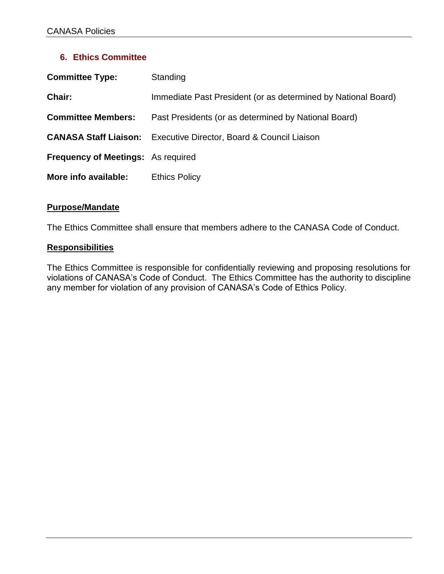## **6. Ethics Committee**

| <b>Committee Type:</b>                    | Standing                                                      |
|-------------------------------------------|---------------------------------------------------------------|
| Chair:                                    | Immediate Past President (or as determined by National Board) |
| <b>Committee Members:</b>                 | Past Presidents (or as determined by National Board)          |
| <b>CANASA Staff Liaison:</b>              | Executive Director, Board & Council Liaison                   |
| <b>Frequency of Meetings:</b> As required |                                                               |
| More info available:                      | <b>Ethics Policy</b>                                          |

### **Purpose/Mandate**

The Ethics Committee shall ensure that members adhere to the CANASA Code of Conduct.

#### **Responsibilities**

The Ethics Committee is responsible for confidentially reviewing and proposing resolutions for violations of CANASA's Code of Conduct. The Ethics Committee has the authority to discipline any member for violation of any provision of CANASA's Code of Ethics Policy.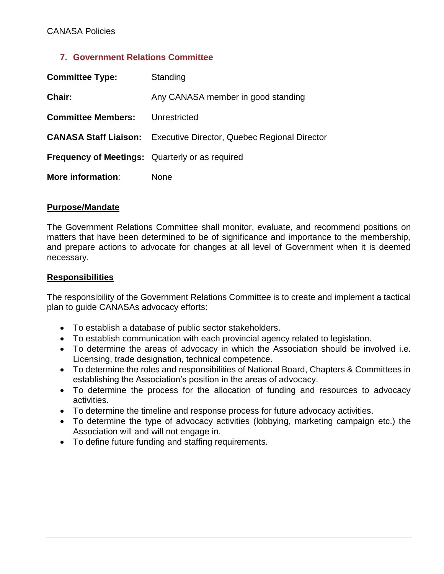## **7. Government Relations Committee**

| <b>Committee Type:</b>                                 | Standing                                                                  |
|--------------------------------------------------------|---------------------------------------------------------------------------|
| Chair:                                                 | Any CANASA member in good standing                                        |
| <b>Committee Members:</b>                              | Unrestricted                                                              |
|                                                        | <b>CANASA Staff Liaison:</b> Executive Director, Quebec Regional Director |
| <b>Frequency of Meetings:</b> Quarterly or as required |                                                                           |
| More information:                                      | None                                                                      |

#### **Purpose/Mandate**

The Government Relations Committee shall monitor, evaluate, and recommend positions on matters that have been determined to be of significance and importance to the membership, and prepare actions to advocate for changes at all level of Government when it is deemed necessary.

#### **Responsibilities**

The responsibility of the Government Relations Committee is to create and implement a tactical plan to guide CANASAs advocacy efforts:

- To establish a database of public sector stakeholders.
- To establish communication with each provincial agency related to legislation.
- To determine the areas of advocacy in which the Association should be involved i.e. Licensing, trade designation, technical competence.
- To determine the roles and responsibilities of National Board, Chapters & Committees in establishing the Association's position in the areas of advocacy.
- To determine the process for the allocation of funding and resources to advocacy activities.
- To determine the timeline and response process for future advocacy activities.
- To determine the type of advocacy activities (lobbying, marketing campaign etc.) the Association will and will not engage in.
- To define future funding and staffing requirements.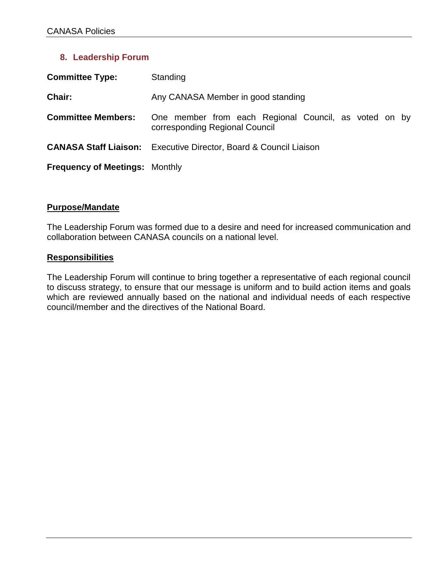# **8. Leadership Forum**

| <b>Committee Type:</b>                | Standing                                                                                |
|---------------------------------------|-----------------------------------------------------------------------------------------|
| Chair:                                | Any CANASA Member in good standing                                                      |
| <b>Committee Members:</b>             | One member from each Regional Council, as voted on by<br>corresponding Regional Council |
|                                       | <b>CANASA Staff Liaison:</b> Executive Director, Board & Council Liaison                |
| <b>Frequency of Meetings: Monthly</b> |                                                                                         |

### **Purpose/Mandate**

The Leadership Forum was formed due to a desire and need for increased communication and collaboration between CANASA councils on a national level.

#### **Responsibilities**

The Leadership Forum will continue to bring together a representative of each regional council to discuss strategy, to ensure that our message is uniform and to build action items and goals which are reviewed annually based on the national and individual needs of each respective council/member and the directives of the National Board.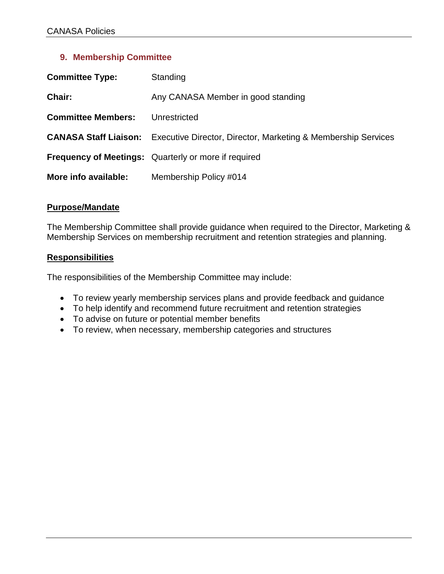## **9. Membership Committee**

| <b>Committee Type:</b>       | Standing                                                      |
|------------------------------|---------------------------------------------------------------|
| <b>Chair:</b>                | Any CANASA Member in good standing                            |
| <b>Committee Members:</b>    | Unrestricted                                                  |
| <b>CANASA Staff Liaison:</b> | Executive Director, Director, Marketing & Membership Services |
|                              | <b>Frequency of Meetings:</b> Quarterly or more if required   |
| More info available:         | Membership Policy #014                                        |

### **Purpose/Mandate**

The Membership Committee shall provide guidance when required to the Director, Marketing & Membership Services on membership recruitment and retention strategies and planning.

### **Responsibilities**

The responsibilities of the Membership Committee may include:

- To review yearly membership services plans and provide feedback and guidance
- To help identify and recommend future recruitment and retention strategies
- To advise on future or potential member benefits
- To review, when necessary, membership categories and structures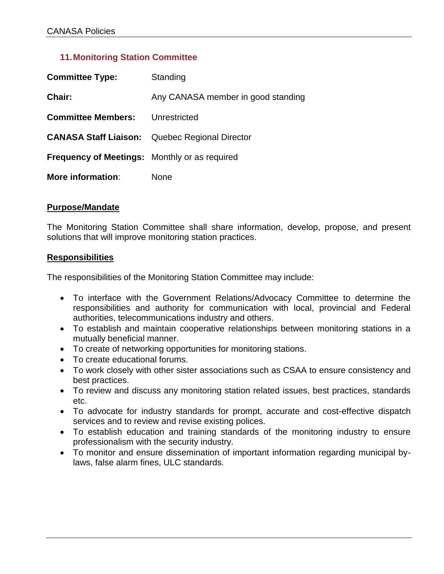## **11.Monitoring Station Committee**

| <b>Committee Type:</b>                        | Standing                                              |
|-----------------------------------------------|-------------------------------------------------------|
| Chair:                                        | Any CANASA member in good standing                    |
| <b>Committee Members:</b>                     | Unrestricted                                          |
|                                               | <b>CANASA Staff Liaison:</b> Quebec Regional Director |
| Frequency of Meetings: Monthly or as required |                                                       |
| More information:                             | None                                                  |

### **Purpose/Mandate**

The Monitoring Station Committee shall share information, develop, propose, and present solutions that will improve monitoring station practices.

#### **Responsibilities**

The responsibilities of the Monitoring Station Committee may include:

- To interface with the Government Relations/Advocacy Committee to determine the responsibilities and authority for communication with local, provincial and Federal authorities, telecommunications industry and others.
- To establish and maintain cooperative relationships between monitoring stations in a mutually beneficial manner.
- To create of networking opportunities for monitoring stations.
- To create educational forums.
- To work closely with other sister associations such as CSAA to ensure consistency and best practices.
- To review and discuss any monitoring station related issues, best practices, standards etc.
- To advocate for industry standards for prompt, accurate and cost-effective dispatch services and to review and revise existing polices.
- To establish education and training standards of the monitoring industry to ensure professionalism with the security industry.
- To monitor and ensure dissemination of important information regarding municipal bylaws, false alarm fines, ULC standards.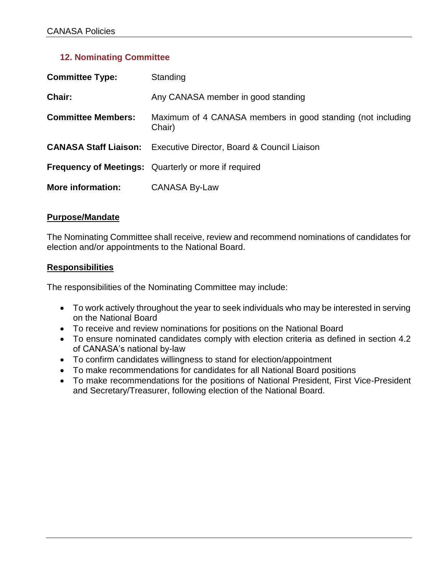## **12. Nominating Committee**

| <b>Committee Type:</b>    | Standing                                                                 |
|---------------------------|--------------------------------------------------------------------------|
| Chair:                    | Any CANASA member in good standing                                       |
| <b>Committee Members:</b> | Maximum of 4 CANASA members in good standing (not including<br>Chair)    |
|                           | <b>CANASA Staff Liaison:</b> Executive Director, Board & Council Liaison |
|                           | <b>Frequency of Meetings:</b> Quarterly or more if required              |
| <b>More information:</b>  | <b>CANASA By-Law</b>                                                     |

### **Purpose/Mandate**

The Nominating Committee shall receive, review and recommend nominations of candidates for election and/or appointments to the National Board.

### **Responsibilities**

The responsibilities of the Nominating Committee may include:

- To work actively throughout the year to seek individuals who may be interested in serving on the National Board
- To receive and review nominations for positions on the National Board
- To ensure nominated candidates comply with election criteria as defined in section 4.2 of CANASA's national by-law
- To confirm candidates willingness to stand for election/appointment
- To make recommendations for candidates for all National Board positions
- To make recommendations for the positions of National President, First Vice-President and Secretary/Treasurer, following election of the National Board.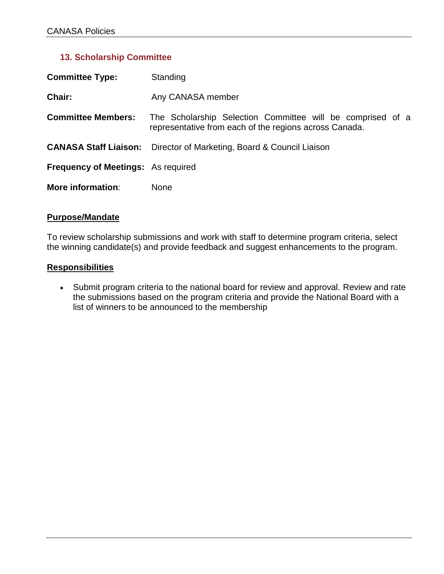# **13. Scholarship Committee**

| <b>Committee Type:</b>                    | Standing                                                                                                             |  |
|-------------------------------------------|----------------------------------------------------------------------------------------------------------------------|--|
| Chair:                                    | Any CANASA member                                                                                                    |  |
| <b>Committee Members:</b>                 | The Scholarship Selection Committee will be comprised of a<br>representative from each of the regions across Canada. |  |
| <b>CANASA Staff Liaison:</b>              | Director of Marketing, Board & Council Liaison                                                                       |  |
| <b>Frequency of Meetings:</b> As required |                                                                                                                      |  |
| <b>More information:</b>                  | None                                                                                                                 |  |

### **Purpose/Mandate**

To review scholarship submissions and work with staff to determine program criteria, select the winning candidate(s) and provide feedback and suggest enhancements to the program.

#### **Responsibilities**

• Submit program criteria to the national board for review and approval. Review and rate the submissions based on the program criteria and provide the National Board with a list of winners to be announced to the membership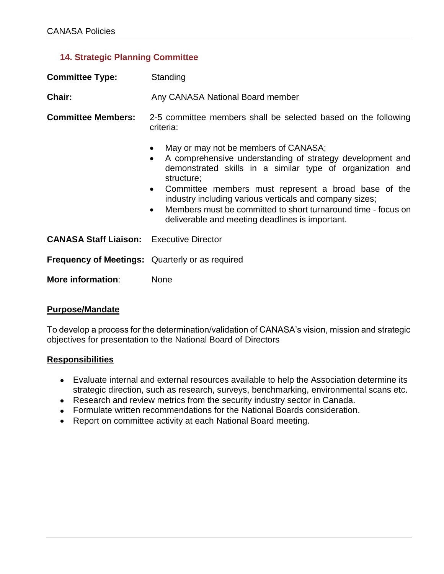# **14. Strategic Planning Committee**

| <b>Committee Type:</b>                                 | Standing                                                                                                                                                                                                                                                                                                                                                                                                                                                        |  |  |
|--------------------------------------------------------|-----------------------------------------------------------------------------------------------------------------------------------------------------------------------------------------------------------------------------------------------------------------------------------------------------------------------------------------------------------------------------------------------------------------------------------------------------------------|--|--|
| Chair:                                                 | Any CANASA National Board member                                                                                                                                                                                                                                                                                                                                                                                                                                |  |  |
| <b>Committee Members:</b>                              | 2-5 committee members shall be selected based on the following<br>criteria:                                                                                                                                                                                                                                                                                                                                                                                     |  |  |
|                                                        | May or may not be members of CANASA;<br>٠<br>A comprehensive understanding of strategy development and<br>$\bullet$<br>demonstrated skills in a similar type of organization and<br>structure;<br>Committee members must represent a broad base of the<br>$\bullet$<br>industry including various verticals and company sizes;<br>Members must be committed to short turnaround time - focus on<br>$\bullet$<br>deliverable and meeting deadlines is important. |  |  |
| <b>CANASA Staff Liaison:</b> Executive Director        |                                                                                                                                                                                                                                                                                                                                                                                                                                                                 |  |  |
| <b>Frequency of Meetings:</b> Quarterly or as required |                                                                                                                                                                                                                                                                                                                                                                                                                                                                 |  |  |
| More information:                                      | <b>None</b>                                                                                                                                                                                                                                                                                                                                                                                                                                                     |  |  |

### **Purpose/Mandate**

To develop a process for the determination/validation of CANASA's vision, mission and strategic objectives for presentation to the National Board of Directors

### **Responsibilities**

- Evaluate internal and external resources available to help the Association determine its strategic direction, such as research, surveys, benchmarking, environmental scans etc.
- Research and review metrics from the security industry sector in Canada.
- Formulate written recommendations for the National Boards consideration.
- Report on committee activity at each National Board meeting.